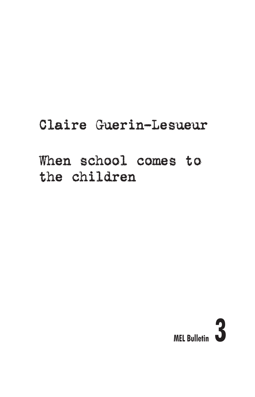# Claire Guerin-Lesueur

# When school comes to the children

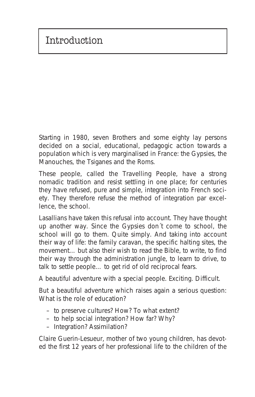Starting in 1980, seven Brothers and some eighty lay persons decided on a social, educational, pedagogic action towards a population which is very marginalised in France: the Gypsies, the Manouches, the Tsiganes and the Roms.

These people, called the Travelling People, have a strong nomadic tradition and resist settling in one place; for centuries they have refused, pure and simple, integration into French society. They therefore refuse the method of integration par excellence, the school.

Lasallians have taken this refusal into account. They have thought up another way. Since the Gypsies don´t come to school, the school will go to them. Quite simply. And taking into account their way of life: the family caravan, the specific halting sites, the movement… but also their wish to read the Bible, to write, to find their way through the administration jungle, to learn to drive, to talk to settle people… to get rid of old reciprocal fears.

A beautiful adventure with a special people. Exciting. Difficult.

But a beautiful adventure which raises again a serious question: What is the role of education?

- to preserve cultures? How? To what extent?
- to help social integration? How far? Why?
- Integration? Assimilation?

Claire Guerin-Lesueur, mother of two young children, has devoted the first 12 years of her professional life to the children of the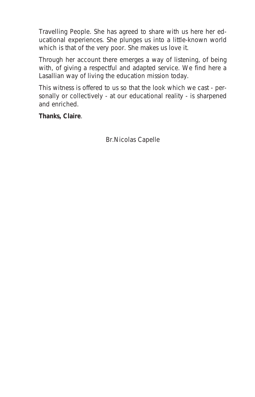Travelling People. She has agreed to share with us here her educational experiences. She plunges us into a little-known world which is that of the very poor. She makes us love it.

Through her account there emerges a way of listening, of being with, of giving a respectful and adapted service. We find here a Lasallian way of living the education mission today.

This witness is offered to us so that the look which we cast - personally or collectively - at our educational reality - is sharpened and enriched.

**Thanks, Claire**.

Br.Nicolas Capelle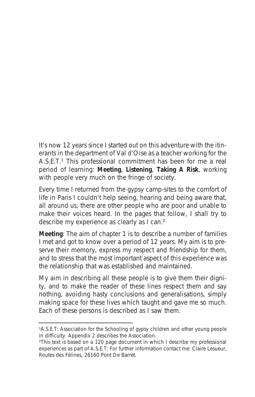It's now 12 years since I started out on this adventure with the itinerants in the department of Val d'Oise as a teacher working for the A.S.E.T.<sup>1</sup> This professional commitment has been for me a real period of learning: **Meeting**, **Listening**, **Taking A Risk**, working with people very much on the fringe of society.

Every time I returned from the gypsy camp-sites to the comfort of life in Paris I couldn't help seeing, hearing and being aware that, all around us, there are other people who are poor and unable to make their voices heard. In the pages that follow, I shall try to describe my experience as clearly as I can.<sup>2</sup>

**Meeting**: The aim of chapter 1 is to describe a number of families I met and got to know over a period of 12 years. My aim is to preserve their memory, express my respect and friendship for them, and to stress that the most important aspect of this experience was the relationship that was established and maintained.

My aim in describing all these people is to give them their dignity, and to make the reader of these lines respect them and say nothing, avoiding hasty conclusions and generalisations, simply making space for these lives which taught and gave me so much. Each of these persons is described as I saw them.

<sup>1</sup>A.S.E.T: Association for the Schooling of gypsy children and other young people in difficulty. Appendix 2 describes the Association.

²This text is based on a 120 page document in which I describe my professional experiences as part of A.S.E.T: For further information contact me: Claire Lesueur, Routes des Félines, 26160 Pont De Barret.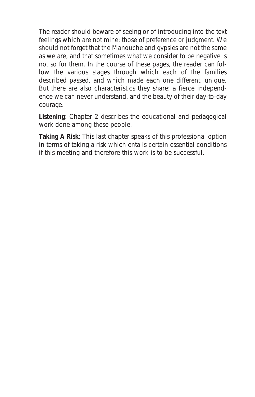The reader should beware of seeing or of introducing into the text feelings which are not mine: those of preference or judgment. We should not forget that the Manouche and gypsies are not the same as we are, and that sometimes what we consider to be negative is not so for them. In the course of these pages, the reader can follow the various stages through which each of the families described passed, and which made each one different, unique. But there are also characteristics they share: a fierce independence we can never understand, and the beauty of their day-to-day courage.

**Listening**: Chapter 2 describes the educational and pedagogical work done among these people.

**Taking A Risk**: This last chapter speaks of this professional option in terms of taking a risk which entails certain essential conditions if this meeting and therefore this work is to be successful.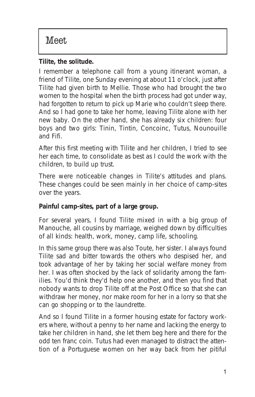#### *Tilite, the solitude.*

I remember a telephone call from a young itinerant woman, a friend of Tilite, one Sunday evening at about 11 o'clock, just after Tilite had given birth to Mellie. Those who had brought the two women to the hospital when the birth process had got under way, had forgotten to return to pick up Marie who couldn't sleep there. And so I had gone to take her home, leaving Tilite alone with her new baby. On the other hand, she has already six children: four boys and two girls: Tinin, Tintin, Concoinc, Tutus, Nounouille and Fifi.

After this first meeting with Tilite and her children, I tried to see her each time, to consolidate as best as I could the work with the children, to build up trust.

There were noticeable changes in Tilite's attitudes and plans. These changes could be seen mainly in her choice of camp-sites over the years.

#### **Painful camp-sites, part of a large group.**

For several years, I found Tilite mixed in with a big group of Manouche, all cousins by marriage, weighed down by difficulties of all kinds: health, work, money, camp life, schooling.

In this same group there was also Toute, her sister. I always found Tilite sad and bitter towards the others who despised her, and took advantage of her by taking her social welfare money from her. I was often shocked by the lack of solidarity among the families. You'd think they'd help one another, and then you find that nobody wants to drop Tilite off at the Post Office so that she can withdraw her money, nor make room for her in a lorry so that she can go shopping or to the laundrette.

And so I found Tilite in a former housing estate for factory workers where, without a penny to her name and lacking the energy to take her children in hand, she let them beg here and there for the odd ten franc coin. Tutus had even managed to distract the attention of a Portuguese women on her way back from her pitiful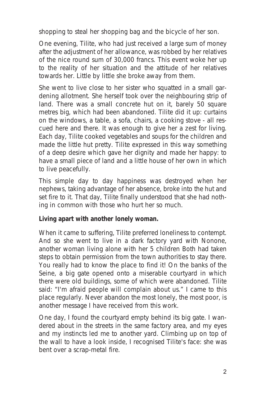shopping to steal her shopping bag and the bicycle of her son.

One evening, Tilite, who had just received a large sum of money after the adjustment of her allowance, was robbed by her relatives of the nice round sum of 30,000 francs. This event woke her up to the reality of her situation and the attitude of her relatives towards her. Little by little she broke away from them.

She went to live close to her sister who squatted in a small gardening allotment. She herself took over the neighbouring strip of land. There was a small concrete hut on it, barely 50 square metres big, which had been abandoned. Tilite did it up: curtains on the windows, a table, a sofa, chairs, a cooking stove - all rescued here and there. It was enough to give her a zest for living. Each day, Tilite cooked vegetables and soups for the children and made the little hut pretty. Tilite expressed in this way something of a deep desire which gave her dignity and made her happy: to have a small piece of land and a little house of her own in which to live peacefully.

This simple day to day happiness was destroyed when her nephews, taking advantage of her absence, broke into the hut and set fire to it. That day, Tilite finally understood that she had nothing in common with those who hurt her so much.

#### **Living apart with another lonely woman.**

When it came to suffering, Tilite preferred loneliness to contempt. And so she went to live in a dark factory yard with Nonone, another woman living alone with her 5 children Both had taken steps to obtain permission from the town authorities to stay there. You really had to know the place to find it! On the banks of the Seine, a big gate opened onto a miserable courtyard in which there were old buildings, some of which were abandoned. Tilite said: "*I'm afraid people will complain about us*." I came to this place regularly. Never abandon the most lonely, the most poor, is another message I have received from this work.

One day, I found the courtyard empty behind its big gate. I wandered about in the streets in the same factory area, and my eyes and my instincts led me to another yard. Climbing up on top of the wall to have a look inside, I recognised Tilite's face: she was bent over a scrap-metal fire.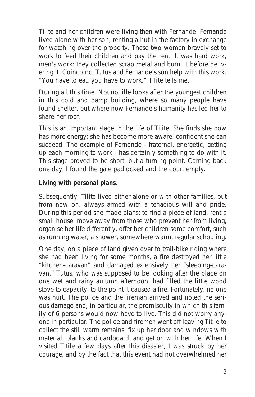Tilite and her children were living then with Fernande. Fernande lived alone with her son, renting a hut in the factory in exchange for watching over the property. These two women bravely set to work to feed their children and pay the rent. It was hard work, men's work: they collected scrap metal and burnt it before delivering it. Coincoinc, Tutus and Fernande's son help with this work. "*You have to eat, you have to work,*" Tilite tells me.

During all this time, Nounouille looks after the youngest children in this cold and damp building, where so many people have found shelter, but where now Fernande's humanity has led her to share her roof.

This is an important stage in the life of Tilite. She finds she now has more energy; she has become more aware, confident she can succeed. The example of Fernande - fraternal, energetic, getting up each morning to work - has certainly something to do with it. This stage proved to be short. but a turning point. Coming back one day, I found the gate padlocked and the court empty.

#### **Living with personal plans.**

Subsequently, Tilite lived either alone or with other families, but from now on, always armed with a tenacious will and pride. During this period she made plans: to find a piece of land, rent a small house, move away from those who prevent her from living, organise her life differently, offer her children some comfort, such as running water, a shower, somewhere warm, regular schooling.

One day, on a piece of land given over to trail-bike riding where she had been living for some months, a fire destroyed her little "kitchen-caravan" and damaged extensively her "sleeping-caravan." Tutus, who was supposed to be looking after the place on one wet and rainy autumn afternoon, had filled the little wood stove to capacity, to the point it caused a fire. Fortunately, no one was hurt. The police and the fireman arrived and noted the serious damage and, in particular, the promiscuity in which this family of 6 persons would now have to live. This did not worry anyone in particular. The police and firemen went off leaving Titile to collect the still warm remains, fix up her door and windows with material, planks and cardboard, and get on with her life. When I visited Titile a few days after this disaster, I was struck by her courage, and by the fact that this event had not overwhelmed her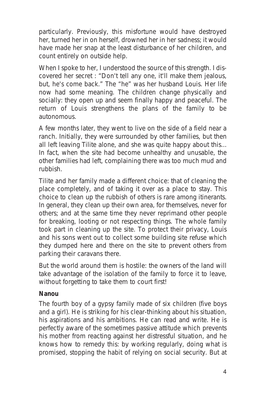particularly. Previously, this misfortune would have destroyed her, turned her in on herself, drowned her in her sadness; it would have made her snap at the least disturbance of her children, and count entirely on outside help.

When I spoke to her, I understood the source of this strength. I discovered her secret : "*Don't tell any one, it'll make them jealous, but, he's come back*." The "he" was her husband Louis. Her life now had some meaning. The children change physically and socially: they open up and seem finally happy and peaceful. The return of Louis strengthens the plans of the family to be autonomous.

A few months later, they went to live on the side of a field near a ranch. Initially, they were surrounded by other families, but then all left leaving Tilite alone, and she was quite happy about this... In fact, when the site had become unhealthy and unusable, the other families had left, complaining there was too much mud and rubbish.

Tilite and her family made a different choice: that of cleaning the place completely, and of taking it over as a place to stay. This choice to clean up the rubbish of others is rare among itinerants. In general, they clean up their own area, for themselves, never for others; and at the same time they never reprimand other people for breaking, looting or not respecting things. The whole family took part in cleaning up the site. To protect their privacy, Louis and his sons went out to collect some building site refuse which they dumped here and there on the site to prevent others from parking their caravans there.

But the world around them is hostile: the owners of the land will take advantage of the isolation of the family to force it to leave, without forgetting to take them to court first!

#### *Nanou*

The fourth boy of a gypsy family made of six children (five boys and a girl). He is striking for his clear-thinking about his situation, his aspirations and his ambitions. He can read and write. He is perfectly aware of the sometimes passive attitude which prevents his mother from reacting against her distressful situation, and he knows how to remedy this: by working regularly, doing what is promised, stopping the habit of relying on social security. But at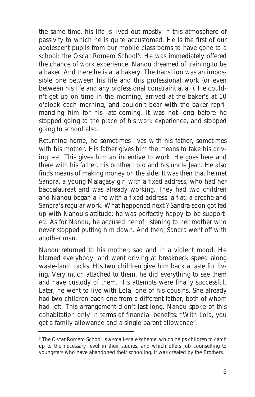the same time, his life is lived out mostly in this atmosphere of passivity to which he is quite accustomed. He is the first of our adolescent pupils from our mobile classrooms to have gone to a school: the Oscar Romero School<sup>3</sup>. He was immediately offered the chance of work experience. Nanou dreamed of training to be a baker. And there he is at a bakery. The transition was an impossible one between his life and this professional work (or even between his life and any professional constraint at all). He couldn't get up on time in the morning, arrived at the baker's at 10 o'clock each morning, and couldn't bear with the baker reprimanding him for his late-coming. It was not long before he stopped going to the place of his work experience, and stopped going to school also.

Returning home, he sometimes lives with his father, sometimes with his mother. His father gives him the means to take his driving test. This gives him an incentive to work. He goes here and there with his father, his brother Lolo and his uncle Jean. He also finds means of making money on the side. It was then that he met Sandra, a young Malagasy girl with a fixed address, who had her baccalaureat and was already working. They had two children and Nanou began a life with a fixed address: a flat, a creche and Sandra's regular work. What happened next ? Sandra soon got fed up with Nanou's attitude: he was perfectly happy to be supported. As for Nanou, he accused her of listening to her mother who never stopped putting him down. And then, Sandra went off with another man.

Nanou returned to his mother, sad and in a violent mood. He blamed everybody, and went driving at breakneck speed along waste-land tracks. His two children give him back a taste for living. Very much attached to them, he did everything to see them and have custody of them. His attempts were finally successful. Later, he went to live with Lola, one of his cousins. She already had two children each one from a different father, both of whom had left. This arrangement didn't last long. Nanou spoke of this cohabitation only in terms of financial benefits: "*With Lola, you get a family allowance and a single parent allowance*".

<sup>&</sup>lt;sup>3</sup> The Oscar Romero School is a small-scale scheme which helps children to catch up to the necessary level in their studies, and which offers job counselling to youngsters who have abandoned their schooling. It was created by the Brothers.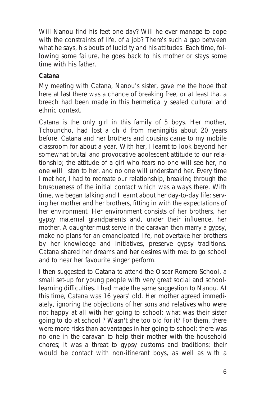Will Nanou find his feet one day? Will he ever manage to cope with the constraints of life, of a job? There's such a gap between what he says, his bouts of lucidity and his attitudes. Each time, following some failure, he goes back to his mother or stays some time with his father.

#### *Catana*

My meeting with Catana, Nanou's sister, gave me the hope that here at last there was a chance of breaking free, or at least that a breech had been made in this hermetically sealed cultural and ethnic context.

Catana is the only girl in this family of 5 boys. Her mother, Tchouncho, had lost a child from meningitis about 20 years before. Catana and her brothers and cousins came to my mobile classroom for about a year. With her, I learnt to look beyond her somewhat brutal and provocative adolescent attitude to our relationship; the attitude of a girl who fears no one will see her, no one will listen to her, and no one will understand her. Every time I met her, I had to recreate our relationship, breaking through the brusqueness of the initial contact which was always there. With time, we began talking and I learnt about her day-to-day life: serving her mother and her brothers, fitting in with the expectations of her environment. Her environment consists of her brothers, her gypsy maternal grandparents and, under their influence, her mother. A daughter must serve in the caravan then marry a gypsy, make no plans for an emancipated life, not overtake her brothers by her knowledge and initiatives, preserve gypsy traditions. Catana shared her dreams and her desires with me: to go school and to hear her favourite singer perform.

I then suggested to Catana to attend the Oscar Romero School, a small set-up for young people with very great social and schoollearning difficulties. I had made the same suggestion to Nanou. At this time, Catana was 16 years' old. Her mother agreed immediately, ignoring the objections of her sons and relatives who were not happy at all with her going to school: what was their sister going to do at school ? Wasn't she too old for it? For them, there were more risks than advantages in her going to school: there was no one in the caravan to help their mother with the household chores; it was a threat to gypsy customs and traditions; their would be contact with non-itinerant boys, as well as with a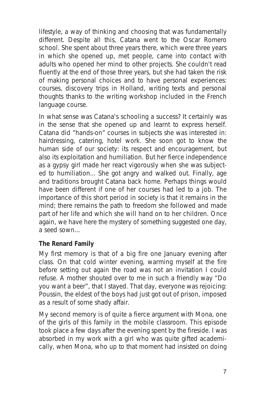lifestyle, a way of thinking and choosing that was fundamentally different. Despite all this, Catana went to the Oscar Romero school. She spent about three years there, which were three years in which she opened up, met people, came into contact with adults who opened her mind to other projects. She couldn't read fluently at the end of those three years, but she had taken the risk of making personal choices and to have personal experiences: courses, discovery trips in Holland, writing texts and personal thoughts thanks to the writing workshop included in the French language course.

In what sense was Catana's schooling a success? It certainly was in the sense that she opened up and learnt to express herself. Catana did "hands-on" courses in subjects she was interested in: hairdressing, catering, hotel work. She soon got to know the human side of our society: its respect and encouragement, but also its exploitation and humiliation. But her fierce independence as a gypsy girl made her react vigorously when she was subjected to humiliation... She got angry and walked out. Finally, age and traditions brought Catana back home. Perhaps things would have been different if one of her courses had led to a job. The importance of this short period in society is that it remains in the mind; there remains the path to freedom she followed and made part of her life and which she will hand on to her children. Once again, we have here the mystery of something suggested one day, a seed sown...

#### *The Renard Family*

My first memory is that of a big fire one January evening after class. On that cold winter evening, warming myself at the fire before setting out again the road was not an invitation I could refuse. A mother shouted over to me in such a friendly way "*Do you want a beer*", that I stayed. That day, everyone was rejoicing: Poussin, the eldest of the boys had just got out of prison, imposed as a result of some shady affair.

My second memory is of quite a fierce argument with Mona, one of the girls of this family in the mobile classroom. This episode took place a few days after the evening spent by the fireside. I was absorbed in my work with a girl who was quite gifted academically, when Mona, who up to that moment had insisted on doing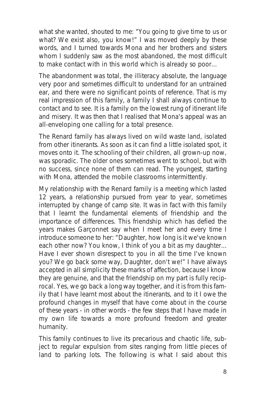what she wanted, shouted to me: "*You going to give time to us or what? We exist also, you know!*" I was moved deeply by these words, and I turned towards Mona and her brothers and sisters whom I suddenly saw as the most abandoned, the most difficult to make contact with in this world which is already so poor...

The abandonment was total, the illiteracy absolute, the language very poor and sometimes difficult to understand for an untrained ear, and there were no significant points of reference. That is my real impression of this family, a family I shall always continue to contact and to see. It is a family on the lowest rung of itinerant life and misery. It was then that I realised that Mona's appeal was an all-enveloping one calling for a total presence.

The Renard family has always lived on wild waste land, isolated from other itinerants. As soon as it can find a little isolated spot, it moves onto it. The schooling of their children, all grown-up now, was sporadic. The older ones sometimes went to school, but with no success, since none of them can read. The youngest, starting with Mona, attended the mobile classrooms intermittently.

My relationship with the Renard family is a meeting which lasted 12 years, a relationship pursued from year to year, sometimes interrupted by change of camp site. It was in fact with this family that I learnt the fundamental elements of friendship and the importance of differences. This friendship which has defied the years makes Garçonnet say when I meet her and every time I introduce someone to her: "*Daughter, how long is it we've known each other now? You know, I think of you a bit as my daughter... Have I ever shown disrespect to you in all the time I've known you? We go back some way, Daughter, don't we!*" I have always accepted in all simplicity these marks of affection, because I know they are genuine, and that the friendship on my part is fully reciprocal. Yes, we go back a long way together, and it is from this family that I have learnt most about the itinerants, and to it I owe the profound changes in myself that have come about in the course of these years - in other words - the few steps that I have made in my own life towards a more profound freedom and greater humanity.

This family continues to live its precarious and chaotic life, subject to regular expulsion from sites ranging from little pieces of land to parking lots. The following is what I said about this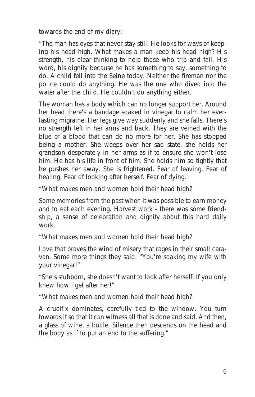towards the end of my diary:

"*The man has eyes that never stay still. He looks for ways of keeping his head high. What makes a man keep his head high? His strength, his clear-thinking to help those who trip and fall. His word, his dignity because he has something to say, something to do. A child fell into the Seine today. Neither the fireman nor the police could do anything. He was the one who dived into the water after the child. He couldn't do anything either.*

*The woman has a body which can no longer support her. Around her head there's a bandage soaked in vinegar to calm her everlasting migraine. Her legs give way suddenly and she falls. There's no strength left in her arms and back. They are veined with the blue of a blood that can do no more for her. She has stopped being a mother. She weeps over her sad state, she holds her grandson desperately in her arms as if to ensure she won't lose him. He has his life in front of him. She holds him so tightly that he pushes her away. She is frightened. Fear of leaving. Fear of healing. Fear of looking after herself. Fear of dying.*

*"What makes men and women hold their head high?* 

*Some memories from the past when it was possible to earn money and to eat each evening. Harvest work - there was some friendship, a sense of celebration and dignity about this hard daily work.*

*"What makes men and women hold their head high?* 

*Love that braves the wind of misery that rages in their small caravan. Some more things they said: "You're soaking my wife with your vinegar!"*

*"She's stubborn, she doesn't want to look after herself. If you only knew how I get after her!"*

*"What makes men and women hold their head high?* 

*A crucifix dominates, carefully tied to the window. You turn towards it so that it can witness all that is done and said. And then, a glass of wine, a bottle. Silence then descends on the head and the body as if to put an end to the suffering."*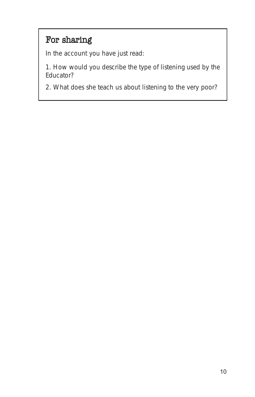# For sharing

In the account you have just read:

1. How would you describe the type of listening used by the Educator?

2. What does she teach us about listening to the very poor?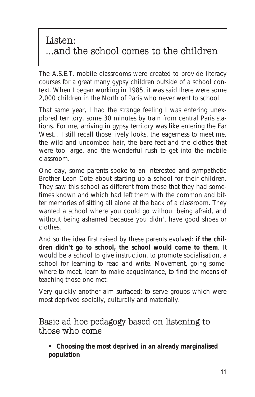## Listen: ...and the school comes to the children

The A.S.E.T. mobile classrooms were created to provide literacy courses for a great many gypsy children outside of a school context. When I began working in 1985, it was said there were some 2,000 children in the North of Paris who never went to school.

That same year, I had the strange feeling I was entering unexplored territory, some 30 minutes by train from central Paris stations. For me, arriving in gypsy territory was like entering the Far West... I still recall those lively looks, the eagerness to meet me, the wild and uncombed hair, the bare feet and the clothes that were too large, and the wonderful rush to get into the mobile classroom.

One day, some parents spoke to an interested and sympathetic Brother Leon Cote about starting up a school for their children. They saw this school as different from those that they had sometimes known and which had left them with the common and bitter memories of sitting all alone at the back of a classroom. They wanted a school where you could go without being afraid, and without being ashamed because you didn't have good shoes or clothes.

And so the idea first raised by these parents evolved: **if the children didn't go to school, the school would come to them**. It would be a school to give instruction, to promote socialisation, a school for learning to read and write. Movement, going somewhere to meet, learn to make acquaintance, to find the means of teaching those one met.

Very quickly another aim surfaced: to serve groups which were most deprived socially, culturally and materially.

Basic ad hoc pedagogy based on listening to those who come

**• Choosing the most deprived in an already marginalised population**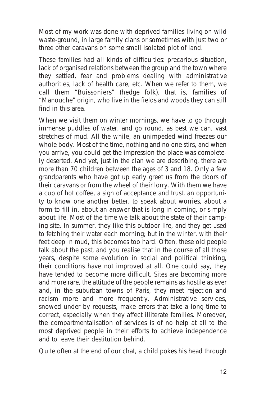Most of my work was done with deprived families living on wild waste-ground, in large family clans or sometimes with just two or three other caravans on some small isolated plot of land.

These families had all kinds of difficulties: precarious situation, lack of organised relations between the group and the town where they settled, fear and problems dealing with administrative authorities, lack of health care, etc. When we refer to them, we call them "Buissoniers" (hedge folk), that is, families of "Manouche" origin, who live in the fields and woods they can still find in this area.

When we visit them on winter mornings, we have to go through immense puddles of water, and go round, as best we can, vast stretches of mud. All the while, an unimpeded wind freezes our whole body. Most of the time, nothing and no one stirs, and when you arrive, you could get the impression the place was completely deserted. And yet, just in the clan we are describing, there are more than 70 children between the ages of 3 and 18. Only a few grandparents who have got up early greet us from the doors of their caravans or from the wheel of their lorry. With them we have a cup of hot coffee, a sign of acceptance and trust, an opportunity to know one another better, to speak about worries, about a form to fill in, about an answer that is long in coming, or simply about life. Most of the time we talk about the state of their camping site. In summer, they like this outdoor life, and they get used to fetching their water each morning; but in the winter, with their feet deep in mud, this becomes too hard. Often, these old people talk about the past, and you realise that in the course of all those years, despite some evolution in social and political thinking, their conditions have not improved at all. One could say, they have tended to become more difficult. Sites are becoming more and more rare, the attitude of the people remains as hostile as ever and, in the suburban towns of Paris, they meet rejection and racism more and more frequently. Administrative services, snowed under by requests, make errors that take a long time to correct, especially when they affect illiterate families. Moreover, the compartmentalisation of services is of no help at all to the most deprived people in their efforts to achieve independence and to leave their destitution behind.

Quite often at the end of our chat, a child pokes his head through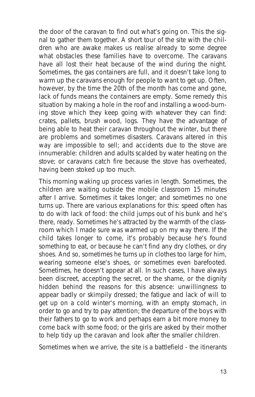the door of the caravan to find out what's going on. This the signal to gather them together. A short tour of the site with the children who are awake makes us realise already to some degree what obstacles these families have to overcome. The caravans have all lost their heat because of the wind during the night. Sometimes, the gas containers are full, and it doesn't take long to warm up the caravans enough for people to want to get up. Often, however, by the time the 20th of the month has come and gone, lack of funds means the containers are empty. Some remedy this situation by making a hole in the roof and installing a wood-burning stove which they keep going with whatever they can find: crates, pallets, brush wood, logs. They have the advantage of being able to heat their caravan throughout the winter, but there are problems and sometimes disasters. Caravans altered in this way are impossible to sell; and accidents due to the stove are innumerable: children and adults scalded by water heating on the stove; or caravans catch fire because the stove has overheated, having been stoked up too much.

This morning waking up process varies in length. Sometimes, the children are waiting outside the mobile classroom 15 minutes after I arrive. Sometimes it takes longer; and sometimes no one turns up. There are various explanations for this: speed often has to do with lack of food: the child jumps out of his bunk and he's there, ready. Sometimes he's attracted by the warmth of the classroom which I made sure was warmed up on my way there. If the child takes longer to come, it's probably because he's found something to eat, or because he can't find any dry clothes, or dry shoes. And so, sometimes he turns up in clothes too large for him, wearing someone else's shoes, or sometimes even barefooted. Sometimes, he doesn't appear at all. In such cases, I have always been discreet, accepting the secret, or the shame, or the dignity hidden behind the reasons for this absence: unwillingness to appear badly or skimpily dressed; the fatigue and lack of will to get up on a cold winter's morning, with an empty stomach, in order to go and try to pay attention; the departure of the boys with their fathers to go to work and perhaps earn a bit more money to come back with some food; or the girls are asked by their mother to help tidy up the caravan and look after the smaller children.

Sometimes when we arrive, the site is a battlefield - the itinerants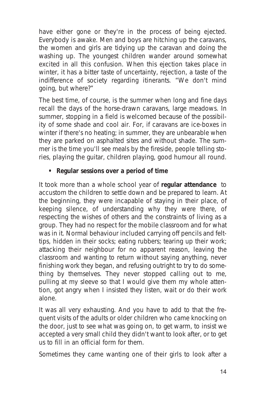have either gone or they're in the process of being ejected. Everybody is awake. Men and boys are hitching up the caravans, the women and girls are tidying up the caravan and doing the washing up. The youngest children wander around somewhat excited in all this confusion. When this ejection takes place in winter, it has a bitter taste of uncertainty, rejection, a taste of the indifference of society regarding itinerants. "We don't mind going, but where?"

The best time, of course, is the summer when long and fine days recall the days of the horse-drawn caravans, large meadows. In summer, stopping in a field is welcomed because of the possibility of some shade and cool air. For, if caravans are ice-boxes in winter if there's no heating; in summer, they are unbearable when they are parked on asphalted sites and without shade. The summer is the time you'll see meals by the fireside, people telling stories, playing the guitar, children playing, good humour all round.

#### **• Regular sessions over a period of time**

It took more than a whole school year of **regular attendance** to accustom the children to settle down and be prepared to learn. At the beginning, they were incapable of staying in their place, of keeping silence, of understanding why they were there, of respecting the wishes of others and the constraints of living as a group. They had no respect for the mobile classroom and for what was in it. Normal behaviour included carrying off pencils and felttips, hidden in their socks; eating rubbers; tearing up their work; attacking their neighbour for no apparent reason, leaving the classroom and wanting to return without saying anything, never finishing work they began, and refusing outright to try to do something by themselves. They never stopped calling out to me, pulling at my sleeve so that I would give them my whole attention, got angry when I insisted they listen, wait or do their work alone.

It was all very exhausting. And you have to add to that the frequent visits of the adults or older children who came knocking on the door, just to see what was going on, to get warm, to insist we accepted a very small child they didn't want to look after, or to get us to fill in an official form for them.

Sometimes they came wanting one of their girls to look after a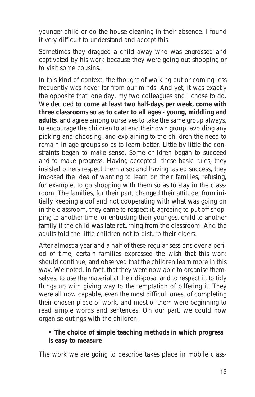younger child or do the house cleaning in their absence. I found it very difficult to understand and accept this.

Sometimes they dragged a child away who was engrossed and captivated by his work because they were going out shopping or to visit some cousins.

In this kind of context, the thought of walking out or coming less frequently was never far from our minds. And yet, it was exactly the opposite that, one day, my two colleagues and I chose to do. We decided **to come at least two half-days per week, come with three classrooms so as to cater to all ages - young, middling and adults**, and agree among ourselves to take the same group always, to encourage the children to attend their own group, avoiding any picking-and-choosing, and explaining to the children the need to remain in age groups so as to learn better. Little by little the constraints began to make sense. Some children began to succeed and to make progress. Having accepted these basic rules, they insisted others respect them also; and having tasted success, they imposed the idea of wanting to learn on their families, refusing, for example, to go shopping with them so as to stay in the classroom. The families, for their part, changed their attitude; from initially keeping aloof and not cooperating with what was going on in the classroom, they came to respect it, agreeing to put off shopping to another time, or entrusting their youngest child to another family if the child was late returning from the classroom. And the adults told the little children not to disturb their elders.

After almost a year and a half of these regular sessions over a period of time, certain families expressed the wish that this work should continue, and observed that the children learn more in this way. We noted, in fact, that they were now able to organise themselves, to use the material at their disposal and to respect it, to tidy things up with giving way to the temptation of pilfering it. They were all now capable, even the most difficult ones, of completing their chosen piece of work, and most of them were beginning to read simple words and sentences. On our part, we could now organise outings with the children.

#### **• The choice of simple teaching methods in which progress is easy to measure**

The work we are going to describe takes place in mobile class-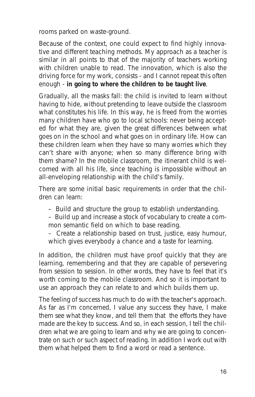rooms parked on waste-ground.

Because of the context, one could expect to find highly innovative and different teaching methods. My approach as a teacher is similar in all points to that of the majority of teachers working with children unable to read. The innovation, which is also the driving force for my work, consists - and I cannot repeat this often enough - **in going to where the children to be taught live**.

Gradually, all the masks fall: the child is invited to learn without having to hide, without pretending to leave outside the classroom what constitutes his life. In this way, he is freed from the worries many children have who go to local schools: never being accepted for what they are, given the great differences between what goes on in the school and what goes on in ordinary life. How can these children learn when they have so many worries which they can't share with anyone; when so many difference bring with them shame? In the mobile classroom, the itinerant child is welcomed with all his life, since teaching is impossible without an all-enveloping relationship with the child's family.

There are some initial basic requirements in order that the children can learn:

- Build and structure the group to establish understanding.
- Build up and increase a stock of vocabulary to create a common semantic field on which to base reading.
- Create a relationship based on trust, justice, easy humour, which gives everybody a chance and a taste for learning.

In addition, the children must have proof quickly that they are learning, remembering and that they are capable of persevering from session to session. In other words, they have to feel that it's worth coming to the mobile classroom. And so it is important to use an approach they can relate to and which builds them up.

The feeling of success has much to do with the teacher's approach. As far as I'm concerned, I value any success they have, I make them see what they know, and tell them that the efforts they have made are the key to success. And so, in each session, I tell the children what we are going to learn and why we are going to concentrate on such or such aspect of reading. In addition I work out with them what helped them to find a word or read a sentence.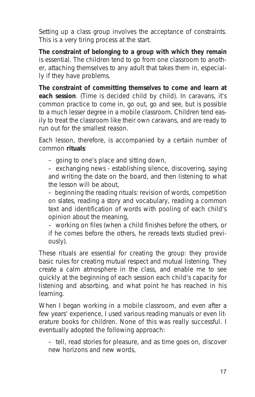Setting up a class group involves the acceptance of constraints. This is a very tiring process at the start.

**The constraint of belonging to a group with which they remain** is essential. The children tend to go from one classroom to another, attaching themselves to any adult that takes them in, especially if they have problems.

**The constraint of committing themselves to come and learn at each session**. (Time is decided child by child). In caravans, it's common practice to come in, go out, go and see, but is possible to a much lesser degree in a mobile classroom. Children tend easily to treat the classroom like their own caravans, and are ready to run out for the smallest reason.

Each lesson, therefore, is accompanied by a certain number of common **rituals**:

– going to one's place and sitting down,

– exchanging news - establishing silence, discovering, saying and writing the date on the board, and then listening to what the lesson will be about,

– beginning the reading rituals: revision of words, competition on slates, reading a story and vocabulary, reading a common text and identification of words with pooling of each child's opinion about the meaning,

– working on files (when a child finishes before the others, or if he comes before the others, he rereads texts studied previously).

These rituals are essential for creating the group: they provide basic rules for creating mutual respect and mutual listening. They create a calm atmosphere in the class, and enable me to see quickly at the beginning of each session each child's capacity for listening and absorbing, and what point he has reached in his learning.

When I began working in a mobile classroom, and even after a few years' experience, I used various reading manuals or even literature books for children. None of this was really successful. I eventually adopted the following approach:

– tell, read stories for pleasure, and as time goes on, discover new horizons and new words,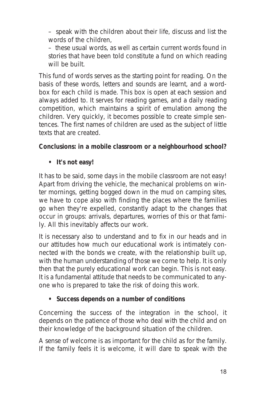– speak with the children about their life, discuss and list the words of the children,

– these usual words, as well as certain current words found in stories that have been told constitute a fund on which reading will be built.

This fund of words serves as the starting point for reading. On the basis of these words, letters and sounds are learnt, and a wordbox for each child is made. This box is open at each session and always added to. It serves for reading games, and a daily reading competition, which maintains a spirit of emulation among the children. Very quickly, it becomes possible to create simple sentences. The first names of children are used as the subject of little texts that are created.

#### **Conclusions: in a mobile classroom or a neighbourhood school?**

**• It's not easy!**

It has to be said, some days in the mobile classroom are not easy! Apart from driving the vehicle, the mechanical problems on winter mornings, getting bogged down in the mud on camping sites, we have to cope also with finding the places where the families go when they're expelled, constantly adapt to the changes that occur in groups: arrivals, departures, worries of this or that family. All this inevitably affects our work.

It is necessary also to understand and to fix in our heads and in our attitudes how much our educational work is intimately connected with the bonds we create, with the relationship built up, with the human understanding of those we come to help. It is only then that the purely educational work can begin. This is not easy. It is a fundamental attitude that needs to be communicated to anyone who is prepared to take the risk of doing this work.

#### **• Success depends on a number of conditions**

Concerning the success of the integration in the school, it depends on the patience of those who deal with the child and on their knowledge of the background situation of the children.

A sense of welcome is as important for the child as for the family. If the family feels it is welcome, it will dare to speak with the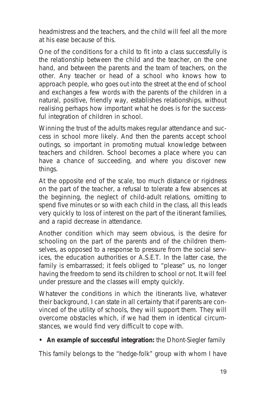headmistress and the teachers, and the child will feel all the more at his ease because of this.

One of the conditions for a child to fit into a class successfully is the relationship between the child and the teacher, on the one hand, and between the parents and the team of teachers, on the other. Any teacher or head of a school who knows how to approach people, who goes out into the street at the end of school and exchanges a few words with the parents of the children in a natural, positive, friendly way, establishes relationships, without realising perhaps how important what he does is for the successful integration of children in school.

Winning the trust of the adults makes regular attendance and success in school more likely. And then the parents accept school outings, so important in promoting mutual knowledge between teachers and children. School becomes a place where you can have a chance of succeeding, and where you discover new things.

At the opposite end of the scale, too much distance or rigidness on the part of the teacher, a refusal to tolerate a few absences at the beginning, the neglect of child-adult relations, omitting to spend five minutes or so with each child in the class, all this leads very quickly to loss of interest on the part of the itinerant families, and a rapid decrease in attendance.

Another condition which may seem obvious, is the desire for schooling on the part of the parents and of the children themselves, as opposed to a response to pressure from the social services, the education authorities or A.S.E.T. In the latter case, the family is embarrassed; it feels obliged to "please" us, no longer having the freedom to send its children to school or not. It will feel under pressure and the classes will empty quickly.

Whatever the conditions in which the itinerants live, whatever their background, I can state in all certainty that if parents are convinced of the utility of schools, they will support them. They will overcome obstacles which, if we had them in identical circumstances, we would find very difficult to cope with.

#### **• An example of successful integration:** *the Dhont-Siegler family*

This family belongs to the "hedge-folk" group with whom I have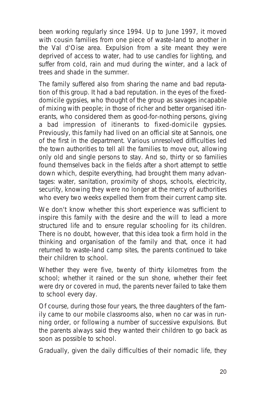been working regularly since 1994. Up to June 1997, it moved with cousin families from one piece of waste-land to another in the Val d'Oise area. Expulsion from a site meant they were deprived of access to water, had to use candles for lighting, and suffer from cold, rain and mud during the winter, and a lack of trees and shade in the summer.

The family suffered also from sharing the name and bad reputation of this group. It had a bad reputation. in the eyes of the fixeddomicile gypsies, who thought of the group as savages incapable of mixing with people; in those of richer and better organised itinerants, who considered them as good-for-nothing persons, giving a bad impression of itinerants to fixed-domicile gypsies. Previously, this family had lived on an official site at Sannois, one of the first in the department. Various unresolved difficulties led the town authorities to tell all the families to move out, allowing only old and single persons to stay. And so, thirty or so families found themselves back in the fields after a short attempt to settle down which, despite everything, had brought them many advantages: water, sanitation, proximity of shops, schools, electricity, security, knowing they were no longer at the mercy of authorities who every two weeks expelled them from their current camp site.

We don't know whether this short experience was sufficient to inspire this family with the desire and the will to lead a more structured life and to ensure regular schooling for its children. There is no doubt, however, that this idea took a firm hold in the thinking and organisation of the family and that, once it had returned to waste-land camp sites, the parents continued to take their children to school.

Whether they were five, twenty of thirty kilometres from the school; whether it rained or the sun shone, whether their feet were dry or covered in mud, the parents never failed to take them to school every day.

Of course, during those four years, the three daughters of the family came to our mobile classrooms also, when no car was in running order, or following a number of successive expulsions. But the parents always said they wanted their children to go back as soon as possible to school.

Gradually, given the daily difficulties of their nomadic life, they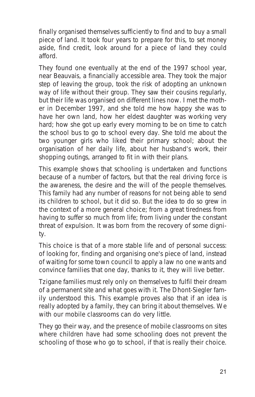finally organised themselves sufficiently to find and to buy a small piece of land. It took four years to prepare for this, to set money aside, find credit, look around for a piece of land they could afford.

They found one eventually at the end of the 1997 school year, near Beauvais, a financially accessible area. They took the major step of leaving the group, took the risk of adopting an unknown way of life without their group. They saw their cousins regularly, but their life was organised on different lines now. I met the mother in December 1997, and she told me how happy she was to have her own land, how her eldest daughter was working very hard; how she got up early every morning to be on time to catch the school bus to go to school every day. She told me about the two younger girls who liked their primary school; about the organisation of her daily life, about her husband's work, their shopping outings, arranged to fit in with their plans.

This example shows that schooling is undertaken and functions because of a number of factors, but that the real driving force is the awareness, the desire and the will of the people themselves. This family had any number of reasons for not being able to send its children to school, but it did so. But the idea to do so grew in the context of a more general choice; from a great tiredness from having to suffer so much from life; from living under the constant threat of expulsion. It was born from the recovery of some dignity.

This choice is that of a more stable life and of personal success: of looking for, finding and organising one's piece of land, instead of waiting for some town council to apply a law no one wants and convince families that one day, thanks to it, they will live better.

Tzigane families must rely only on themselves to fulfil their dream of a permanent site and what goes with it. The Dhont-Siegler family understood this. This example proves also that if an idea is really adopted by a family, they can bring it about themselves. We with our mobile classrooms can do very little.

They go their way, and the presence of mobile classrooms on sites where children have had some schooling does not prevent the schooling of those who go to school, if that is really their choice.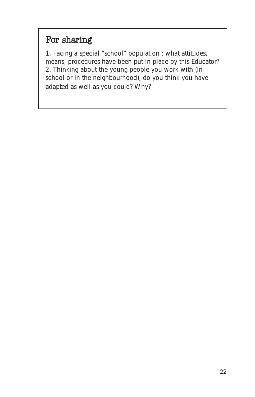# For sharing

1. Facing a special "school" population : what attitudes, means, procedures have been put in place by this Educator? 2. Thinking about the young people you work with (in school or in the neighbourhood), do you think you have adapted as well as you could? Why?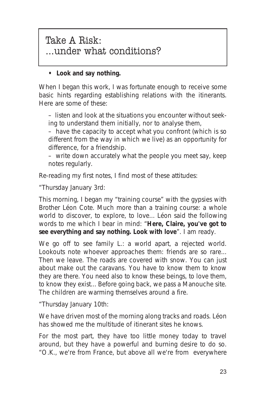### Take A Risk: ...under what conditions?

#### **• Look and say nothing.**

When I began this work, I was fortunate enough to receive some basic hints regarding establishing relations with the itinerants. Here are some of these:

– listen and look at the situations you encounter without seeking to understand them initially, nor to analyse them,

– have the capacity to accept what you confront (which is so different from the way in which we live) as an opportunity for difference, for a friendship.

– write down accurately what the people you meet say, keep notes regularly.

Re-reading my first notes, I find most of these attitudes:

"*Thursday January 3rd:*

*This morning, I began my "training course" with the gypsies with Brother Léon Cote. Much more than a training course: a whole world to discover, to explore, to love... Léon said the following words to me which I bear in mind:* "**Here, Claire, you've got to see everything and say nothing. Look with love**". *I am ready.*

*We go off to see family L.: a world apart, a rejected world. Lookouts note whoever approaches them: friends are so rare... Then we leave. The roads are covered with snow. You can just about make out the caravans. You have to know them to know they are there. You need also to know these beings, to love them, to know they exist... Before going back, we pass a Manouche site. The children are warming themselves around a fire.*

"*Thursday January 10th:*

*We have driven most of the morning along tracks and roads. Léon has showed me the multitude of itinerant sites he knows.*

*For the most part, they have too little money today to travel around, but they have a powerful and burning desire to do so.* "O.K., we're from France, but above all we're from everywhere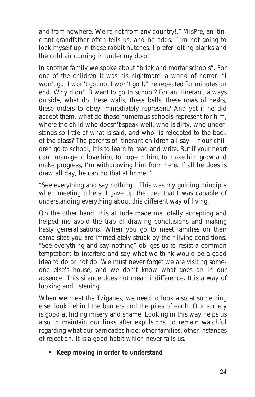and from nowhere. We're not from any country!," *MisPre, an itinerant grandfather often tells us, and he adds:* "I'm not going to lock myself up in those rabbit hutches. I prefer jolting planks and the cold air coming in under my door."

*In another family we spoke about "brick and mortar schools". For one of the children it was his nightmare, a world of horror:* "I won't go, I won't go, no, I won't go !," *he repeated for minutes on end. Why didn't B want to go to school? For an itinerant, always outside, what do these walls, these bells, these rows of desks, these orders to obey immediately represent? And yet if he did accept them, what do those numerous schools represent for him, where the child who doesn't speak well, who is dirty, who understands so little of what is said, and who is relegated to the back of the class? The parents of itinerant children all say:* "If our children go to school, it is to learn to read and write. But if your heart can't manage to love him, to hope in him, to make him grow and make progress, I'm withdrawing him from here. If all he does is draw all day, he can do that at home!"

"*See everything and say nothing.*" This was my guiding principle when meeting others: I gave up the idea that I was capable of understanding everything about this different way of living.

On the other hand, this attitude made me totally accepting and helped me avoid the trap of drawing conclusions and making hasty generalisations. When you go to meet families on their camp sites you are immediately struck by their living conditions. "*See everything and say nothing*" obliges us to resist a common temptation: to interfere and say what we think would be a good idea to do or not do. We must never forget we are visiting someone else's house, and we don't know what goes on in our absence. This silence does not mean indifference. It is a way of looking and listening.

When we meet the Tziganes, we need to look also at something else: look behind the barriers and the piles of earth. Our society is good at hiding misery and shame. Looking in this way helps us also to maintain our links after expulsions, to remain watchful regarding what our barricades hide: other families, other instances of rejection. It is a good habit which never fails us.

**• Keep moving in order to understand**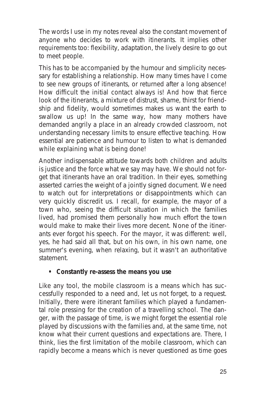The words I use in my notes reveal also the constant movement of anyone who decides to work with itinerants. It implies other requirements too: flexibility, adaptation, the lively desire to go out to meet people.

This has to be accompanied by the humour and simplicity necessary for establishing a relationship. How many times have I come to see new groups of itinerants, or returned after a long absence! How difficult the initial contact always is! And how that fierce look of the itinerants, a mixture of distrust, shame, thirst for friendship and fidelity, would sometimes makes us want the earth to swallow us up! In the same way, how many mothers have demanded angrily a place in an already crowded classroom, not understanding necessary limits to ensure effective teaching. How essential are patience and humour to listen to what is demanded while explaining what is being done!

Another indispensable attitude towards both children and adults is justice and the force what we say may have. We should not forget that itinerants have an oral tradition. In their eyes, something asserted carries the weight of a jointly signed document. We need to watch out for interpretations or disappointments which can very quickly discredit us. I recall, for example, the mayor of a town who, seeing the difficult situation in which the families lived, had promised them personally how much effort the town would make to make their lives more decent. None of the itinerants ever forgot his speech. For the mayor, it was different: well, yes, he had said all that, but on his own, in his own name, one summer's evening, when relaxing, but it wasn't an authoritative statement.

#### **• Constantly re-assess the means you use**

Like any tool, the mobile classroom is a means which has successfully responded to a need and, let us not forget, to a request. Initially, there were itinerant families which played a fundamental role pressing for the creation of a travelling school. The danger, with the passage of time, is we might forget the essential role played by discussions with the families and, at the same time, not know what their current questions and expectations are. There, I think, lies the first limitation of the mobile classroom, which can rapidly become a means which is never questioned as time goes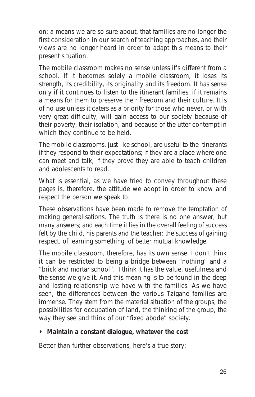on; a means we are so sure about, that families are no longer the first consideration in our search of teaching approaches, and their views are no longer heard in order to adapt this means to their present situation.

The mobile classroom makes no sense unless it's different from a school. If it becomes solely a mobile classroom, it loses its strength, its credibility, its originality and its freedom. It has sense only if it continues to listen to the itinerant families, if it remains a means for them to preserve their freedom and their culture. It is of no use unless it caters as a priority for those who never, or with very great difficulty, will gain access to our society because of their poverty, their isolation, and because of the utter contempt in which they continue to be held.

The mobile classrooms, just like school, are useful to the itinerants if they respond to their expectations; if they are a place where one can meet and talk; if they prove they are able to teach children and adolescents to read.

What is essential, as we have tried to convey throughout these pages is, therefore, the attitude we adopt in order to know and respect the person we speak to.

These observations have been made to remove the temptation of making generalisations. The truth is there is no one answer, but many answers; and each time it lies in the overall feeling of success felt by the child, his parents and the teacher: the success of gaining respect, of learning something, of better mutual knowledge.

The mobile classroom, therefore, has its own sense. I don't think it can be restricted to being a bridge between "nothing" and a "brick and mortar school". I think it has the value, usefulness and the sense we give it. And this meaning is to be found in the deep and lasting relationship we have with the families. As we have seen, the differences between the various Tzigane families are immense. They stem from the material situation of the groups, the possibilities for occupation of land, the thinking of the group, the way they see and think of our "fixed abode" society.

#### **• Maintain a constant dialogue, whatever the cost**

Better than further observations, here's a true story: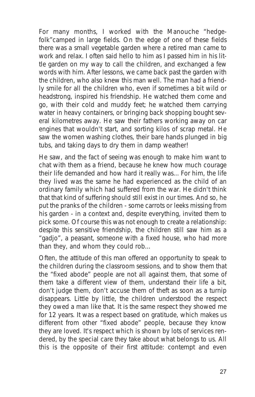For many months, I worked with the Manouche "hedgefolk"camped in large fields. On the edge of one of these fields there was a small vegetable garden where a retired man came to work and relax. I often said hello to him as I passed him in his little garden on my way to call the children, and exchanged a few words with him. After lessons, we came back past the garden with the children, who also knew this man well. The man had a friendly smile for all the children who, even if sometimes a bit wild or headstrong, inspired his friendship. He watched them come and go, with their cold and muddy feet; he watched them carrying water in heavy containers, or bringing back shopping bought several kilometres away. He saw their fathers working away on car engines that wouldn't start, and sorting kilos of scrap metal. He saw the women washing clothes, their bare hands plunged in big tubs, and taking days to dry them in damp weather!

He saw, and the fact of seeing was enough to make him want to chat with them as a friend, because he knew how much courage their life demanded and how hard it really was... For him, the life they lived was the same he had experienced as the child of an ordinary family which had suffered from the war. He didn't think that that kind of suffering should still exist in our times. And so, he put the pranks of the children - some carrots or leeks missing from his garden - in a context and, despite everything, invited them to pick some. Of course this was not enough to create a relationship: despite this sensitive friendship, the children still saw him as a "gadjo", a peasant, someone with a fixed house, who had more than they, and whom they could rob...

Often, the attitude of this man offered an opportunity to speak to the children during the classroom sessions, and to show them that the "fixed abode" people are not all against them, that some of them take a different view of them, understand their life a bit, don't judge them, don't accuse them of theft as soon as a turnip disappears. Little by little, the children understood the respect they owed a man like that. It is the same respect they showed me for 12 years. It was a respect based on gratitude, which makes us different from other "fixed abode" people, because they know they are loved. It's respect which is shown by lots of services rendered, by the special care they take about what belongs to us. All this is the opposite of their first attitude: contempt and even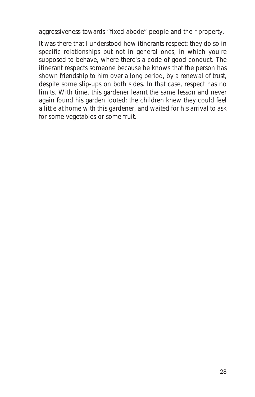aggressiveness towards "fixed abode" people and their property.

It was there that I understood how itinerants respect: they do so in specific relationships but not in general ones, in which you're supposed to behave, where there's a code of good conduct. The itinerant respects someone because he knows that the person has shown friendship to him over a long period, by a renewal of trust, despite some slip-ups on both sides. In that case, respect has no limits. With time, this gardener learnt the same lesson and never again found his garden looted: the children knew they could feel a little at home with this gardener, and waited for his arrival to ask for some vegetables or some fruit.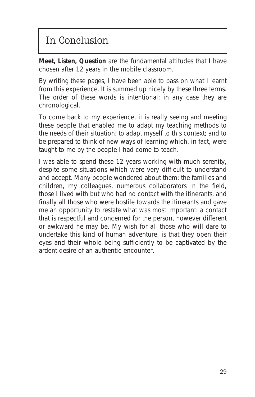# In Conclusion

**Meet, Listen, Question** are the fundamental attitudes that I have chosen after 12 years in the mobile classroom.

By writing these pages, I have been able to pass on what I learnt from this experience. It is summed up nicely by these three terms. The order of these words is intentional; in any case they are chronological.

To come back to my experience, it is really seeing and meeting these people that enabled me to adapt my teaching methods to the needs of their situation; to adapt myself to this context; and to be prepared to think of new ways of learning which, in fact, were taught to me by the people I had come to teach.

I was able to spend these 12 years working with much serenity, despite some situations which were very difficult to understand and accept. Many people wondered about them: the families and children, my colleagues, numerous collaborators in the field, those I lived with but who had no contact with the itinerants, and finally all those who were hostile towards the itinerants and gave me an opportunity to restate what was most important: a contact that is respectful and concerned for the person, however different or awkward he may be. My wish for all those who will dare to undertake this kind of human adventure, is that they open their eyes and their whole being sufficiently to be captivated by the ardent desire of an authentic encounter.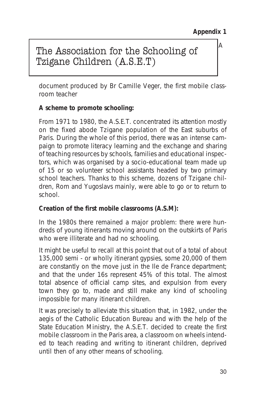*A*

### The Association for the Schooling of Tzigane Children (A.S.E.T)

*document produced by Br Camille Veger, the first mobile classroom teacher*

#### **A scheme to promote schooling:**

From 1971 to 1980, the A.S.E.T. concentrated its attention mostly on the fixed abode Tzigane population of the East suburbs of Paris. During the whole of this period, there was an intense campaign to promote literacy learning and the exchange and sharing of teaching resources by schools, families and educational inspectors, which was organised by a socio-educational team made up of 15 or so volunteer school assistants headed by two primary school teachers. Thanks to this scheme, dozens of Tzigane children, Rom and Yugoslavs mainly, were able to go or to return to school.

#### **Creation of the first mobile classrooms (A.S.M):**

In the 1980s there remained a major problem: there were hundreds of young itinerants moving around on the outskirts of Paris who were illiterate and had no schooling.

It might be useful to recall at this point that out of a total of about 135,000 semi - or wholly itinerant gypsies, some 20,000 of them are constantly on the move just in the Ile de France department; and that the under 16s represent 45% of this total. The almost total absence of official camp sites, and expulsion from every town they go to, made and still make any kind of schooling impossible for many itinerant children.

It was precisely to alleviate this situation that, in 1982, under the aegis of the Catholic Education Bureau and with the help of the State Education Ministry, the A.S.E.T. decided to create the first mobile classroom in the Paris area, a classroom on wheels intended to teach reading and writing to itinerant children, deprived until then of any other means of schooling.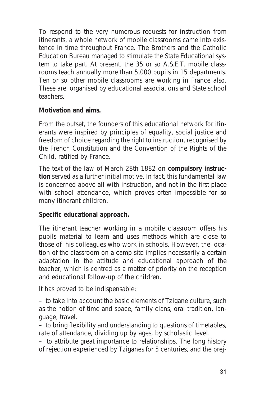To respond to the very numerous requests for instruction from itinerants, a whole network of mobile classrooms came into existence in time throughout France. The Brothers and the Catholic Education Bureau managed to stimulate the State Educational system to take part. At present, the 35 or so A.S.E.T. mobile classrooms teach annually more than 5,000 pupils in 15 departments. Ten or so other mobile classrooms are working in France also. These are organised by educational associations and State school teachers.

#### **Motivation and aims.**

From the outset, the founders of this educational network for itinerants were inspired by principles of equality, social justice and freedom of choice regarding the right to instruction, recognised by the French Constitution and the Convention of the Rights of the Child, ratified by France.

The text of the law of March 28th 1882 on **compulsory instruction** served as a further initial motive. In fact, this fundamental law is concerned above all with instruction, and not in the first place with school attendance, which proves often impossible for so many itinerant children.

#### **Specific educational approach.**

The itinerant teacher working in a mobile classroom offers his pupils material to learn and uses methods which are close to those of his colleagues who work in schools. However, the location of the classroom on a camp site implies necessarily a certain adaptation in the attitude and educational approach of the teacher, which is centred as a matter of priority on the reception and educational follow-up of the children.

It has proved to be indispensable:

– to take into account the basic elements of Tzigane culture, such as the notion of time and space, family clans, oral tradition, language, travel.

– to bring flexibility and understanding to questions of timetables, rate of attendance, dividing up by ages, by scholastic level.

– to attribute great importance to relationships. The long history of rejection experienced by Tziganes for 5 centuries, and the prej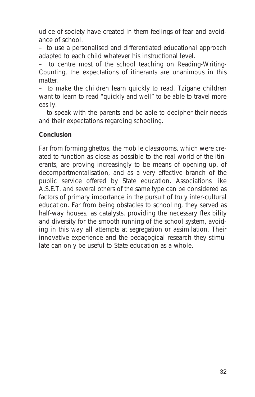udice of society have created in them feelings of fear and avoidance of school.

– to use a personalised and differentiated educational approach adapted to each child whatever his instructional level.

– to centre most of the school teaching on Reading-Writing-Counting, the expectations of itinerants are unanimous in this matter.

– to make the children learn quickly to read. Tzigane children want to learn to read "quickly and well" to be able to travel more easily.

– to speak with the parents and be able to decipher their needs and their expectations regarding schooling.

#### **Conclusion**

Far from forming ghettos, the mobile classrooms, which were created to function as close as possible to the real world of the itinerants, are proving increasingly to be means of opening up, of decompartmentalisation, and as a very effective branch of the public service offered by State education. Associations like A.S.E.T. and several others of the same type can be considered as factors of primary importance in the pursuit of truly inter-cultural education. Far from being obstacles to schooling, they served as half-way houses, as catalysts, providing the necessary flexibility and diversity for the smooth running of the school system, avoiding in this way all attempts at segregation or assimilation. Their innovative experience and the pedagogical research they stimulate can only be useful to State education as a whole.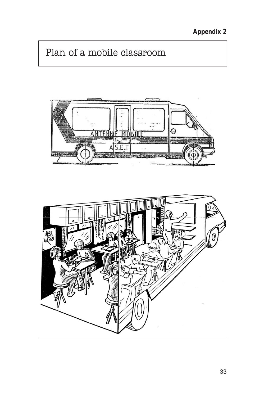**Appendix 2**

# Plan of a mobile classroom



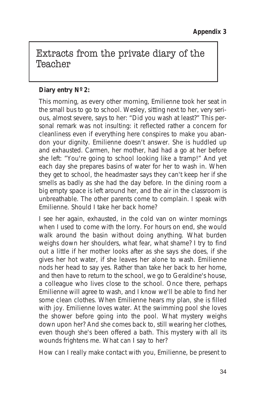### Extracts from the private diary of the Teacher

#### **Diary entry Nº 2:**

*This morning, as every other morning, Emilienne took her seat in the small bus to go to school. Wesley, sitting next to her, very serious, almost severe, says to her:* "Did you wash at least?" *This personal remark was not insulting: it reflected rather a concern for cleanliness even if everything here conspires to make you abandon your dignity. Emilienne doesn't answer. She is huddled up and exhausted. Carmen, her mother, had had a go at her before she left:* "You're going to school looking like a tramp!" *And yet each day she prepares basins of water for her to wash in. When they get to school, the headmaster says they can't keep her if she smells as badly as she had the day before. In the dining room a big empty space is left around her, and the air in the classroom is unbreathable. The other parents come to complain. I speak with Emilienne. Should I take her back home?*

*I see her again, exhausted, in the cold van on winter mornings when I used to come with the lorry. For hours on end, she would walk around the basin without doing anything. What burden weighs down her shoulders, what fear, what shame? I try to find out a little if her mother looks after as she says she does, if she gives her hot water, if she leaves her alone to wash. Emilienne nods her head to say yes. Rather than take her back to her home, and then have to return to the school, we go to Geraldine's house, a colleague who lives close to the school. Once there, perhaps Emilienne will agree to wash, and I know we'll be able to find her some clean clothes. When Emilienne hears my plan, she is filled with joy. Emilienne loves water. At the swimming pool she loves the shower before going into the pool. What mystery weighs down upon her? And she comes back to, still wearing her clothes, even though she's been offered a bath. This mystery with all its wounds frightens me. What can I say to her?*

*How can I really make contact with you, Emilienne, be present to*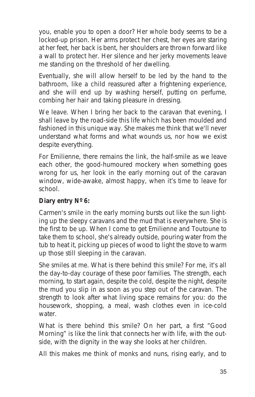*you, enable you to open a door? Her whole body seems to be a locked-up prison. Her arms protect her chest, her eyes are staring at her feet, her back is bent, her shoulders are thrown forward like a wall to protect her. Her silence and her jerky movements leave me standing on the threshold of her dwelling.*

*Eventually, she will allow herself to be led by the hand to the bathroom, like a child reassured after a frightening experience, and she will end up by washing herself, putting on perfume, combing her hair and taking pleasure in dressing.*

*We leave. When I bring her back to the caravan that evening, I shall leave by the road-side this life which has been moulded and fashioned in this unique way. She makes me think that we'll never understand what forms and what wounds us, nor how we exist despite everything.*

*For Emilienne, there remains the link, the half-smile as we leave each other, the good-humoured mockery when something goes wrong for us, her look in the early morning out of the caravan window, wide-awake, almost happy, when it's time to leave for school.*

#### **Diary entry Nº 6:**

*Carmen's smile in the early morning bursts out like the sun lighting up the sleepy caravans and the mud that is everywhere. She is the first to be up. When I come to get Emilienne and Toutoune to take them to school, she's already outside, pouring water from the tub to heat it, picking up pieces of wood to light the stove to warm up those still sleeping in the caravan.*

*She smiles at me. What is there behind this smile? For me, it's all the day-to-day courage of these poor families. The strength, each morning, to start again, despite the cold, despite the night, despite the mud you slip in as soon as you step out of the caravan. The strength to look after what living space remains for you: do the housework, shopping, a meal, wash clothes even in ice-cold water.*

*What is there behind this smile? On her part, a first "Good Morning" is like the link that connects her with life, with the outside, with the dignity in the way she looks at her children.*

*All this makes me think of monks and nuns, rising early, and to*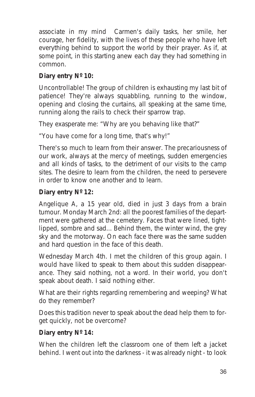*associate in my mind Carmen's daily tasks, her smile, her courage, her fidelity, with the lives of these people who have left everything behind to support the world by their prayer. As if, at some point, in this starting anew each day they had something in common.*

#### **Diary entry Nº 10:**

*Uncontrollable! The group of children is exhausting my last bit of patience! They're always squabbling, running to the window, opening and closing the curtains, all speaking at the same time, running along the rails to check their sparrow trap.*

*They exasperate me:* "Why are you behaving like that?"

"You have come for a long time, that's why!"

*There's so much to learn from their answer. The precariousness of our work, always at the mercy of meetings, sudden emergencies and all kinds of tasks, to the detriment of our visits to the camp sites. The desire to learn from the children, the need to persevere in order to know one another and to learn*.

#### **Diary entry Nº 12:**

*Angelique A, a 15 year old, died in just 3 days from a brain tumour. Monday March 2nd: all the poorest families of the department were gathered at the cemetery. Faces that were lined, tightlipped, sombre and sad... Behind them, the winter wind, the grey sky and the motorway. On each face there was the same sudden and hard question in the face of this death.*

*Wednesday March 4th. I met the children of this group again. I would have liked to speak to them about this sudden disappearance. They said nothing, not a word. In their world, you don't speak about death. I said nothing either.*

*What are their rights regarding remembering and weeping? What do they remember?*

*Does this tradition never to speak about the dead help them to forget quickly, not be overcome?*

#### **Diary entry Nº 14:**

*When the children left the classroom one of them left a jacket behind. I went out into the darkness - it was already night - to look*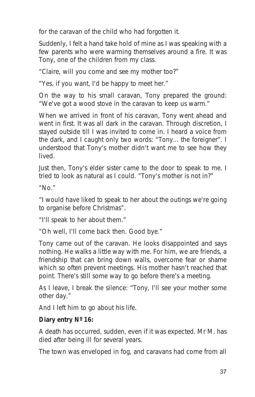*for the caravan of the child who had forgotten it.* 

*Suddenly, I felt a hand take hold of mine as I was speaking with a few parents who were warming themselves around a fire. It was Tony, one of the children from my class.*

"Claire, will you come and see my mother too?"

"Yes, if you want, I'd be happy to meet her."

*On the way to his small caravan, Tony prepared the ground:* "We've got a wood stove in the caravan to keep us warm."

*When we arrived in front of his caravan, Tony went ahead and went in first. It was all dark in the caravan. Through discretion, I stayed outside till I was invited to come in. I heard a voice from the dark, and I caught only two words:* "Tony... the foreigner". *I understood that Tony's mother didn't want me to see how they lived.*

J*ust then, Tony's elder sister came to the door to speak to me. I tried to look as natural as I could.* "Tony's mother is not in?"

"No."

"I would have liked to speak to her about the outings we're going to organise before Christmas".

"I'll speak to her about them."

"Oh well, I'll come back then. Good bye."

*Tony came out of the caravan. He looks disappointed and says nothing. He walks a little way with me. For him, we are friends, a friendship that can bring down walls, overcome fear or shame which so often prevent meetings. His mother hasn't reached that point. There's still some way to go before there's a meeting.*

*As I leave, I break the silence:* "Tony, I'll see your mother some other day."

*And I left him to go about his life.*

#### **Diary entry Nº 16:**

*A death has occurred, sudden, even if it was expected. Mr M. has died after being ill for several years.*

*The town was enveloped in fog, and caravans had come from all*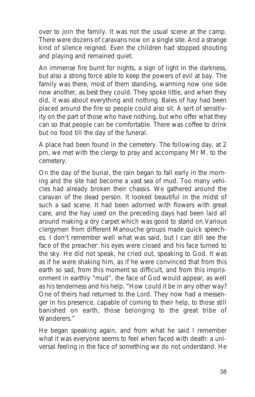*over to join the family. It was not the usual scene at the camp. There were dozens of caravans now on a single site. And a strange kind of silence reigned. Even the children had stopped shouting and playing and remained quiet.*

*An immense fire burnt for nights, a sign of light in the darkness, but also a strong force able to keep the powers of evil at bay. The family was there, most of them standing, warming now one side now another, as best they could. They spoke little, and when they did, it was about everything and nothing. Bales of hay had been placed around the fire so people could also sit. A sort of sensitivity on the part of those who have nothing, but who offer what they can so that people can be comfortable. There was coffee to drink but no food till the day of the funeral.*

*A place had been found in the cemetery. The following day, at 2 pm, we met with the clergy to pray and accompany Mr M. to the cemetery.*

*On the day of the burial, the rain began to fall early in the morning and the site had become a vast sea of mud. Too many vehicles had already broken their chassis. We gathered around the caravan of the dead person. It looked beautiful in the midst of such a sad scene. It had been adorned with flowers with great care, and the hay used on the preceding days had been laid all around making a dry carpet which was good to stand on.Various clergymen from different Manouche groups made quick speeches. I don't remember well what was said, but I can still see the face of the preacher: his eyes were closed and his face turned to the sky. He did not speak, he cried out, speaking to God. It was as if he were shaking him, as if he were convinced that from this earth so sad, from this moment so difficult, and from this imprisonment in earthly "mud", the face of God would appear, as well as his tenderness and his help.* "How could it be in any other way? One of theirs had returned to the Lord. They now had a messenger in his presence, capable of coming to their help, to those still banished on earth, those belonging to the great tribe of Wanderers."

*He began speaking again, and from what he said I remember what it was everyone seems to feel when faced with death: a universal feeling in the face of something we do not understand. He*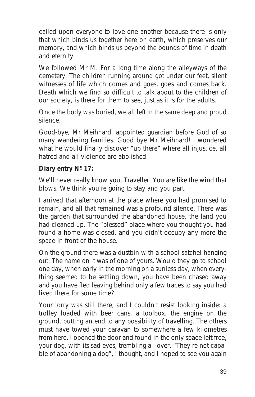*called upon everyone to love one another because there is only that which binds us together here on earth, which preserves our memory, and which binds us beyond the bounds of time in death and eternity.*

*We followed Mr M. For a long time along the alleyways of the cemetery. The children running around got under our feet, silent witnesses of life which comes and goes, goes and comes back. Death which we find so difficult to talk about to the children of our society, is there for them to see, just as it is for the adults.*

*Once the body was buried, we all left in the same deep and proud silence.*

*Good-bye, Mr Meihnard, appointed guardian before God of so many wandering families. Good bye Mr Meihnard! I wondered what he would finally discover "up there" where all injustice, all hatred and all violence are abolished.*

#### **Diary entry Nº 17:**

*We'll never really know you, Traveller. You are like the wind that blows. We think you're going to stay and you part.*

*I arrived that afternoon at the place where you had promised to remain, and all that remained was a profound silence. There was the garden that surrounded the abandoned house, the land you had cleaned up. The "blessed" place where you thought you had found a home was closed, and you didn't occupy any more the space in front of the house.*

*On the ground there was a dustbin with a school satchel hanging out. The name on it was of one of yours. Would they go to school one day, when early in the morning on a sunless day, when everything seemed to be settling down, you have been chased away and you have fled leaving behind only a few traces to say you had lived there for some time?*

*Your lorry was still there, and I couldn't resist looking inside: a trolley loaded with beer cans, a toolbox, the engine on the ground, putting an end to any possibility of travelling. The others must have towed your caravan to somewhere a few kilometres from here. I opened the door and found in the only space left free, your dog, with its sad eyes, trembling all over.* "They're not capable of abandoning a dog", *I thought, and I hoped to see you again*